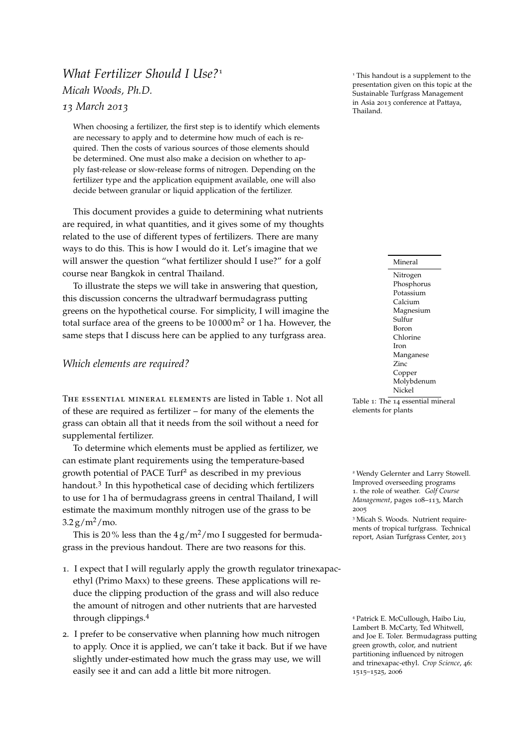# <span id="page-0-0"></span>*What Fertilizer Should I Use*?<sup>1</sup> 1 This handout is a supplement to the *Micah Woods, Ph.D.*

# *13 March 2013*

When choosing a fertilizer, the first step is to identify which elements are necessary to apply and to determine how much of each is required. Then the costs of various sources of those elements should be determined. One must also make a decision on whether to apply fast-release or slow-release forms of nitrogen. Depending on the fertilizer type and the application equipment available, one will also decide between granular or liquid application of the fertilizer.

This document provides a guide to determining what nutrients are required, in what quantities, and it gives some of my thoughts related to the use of different types of fertilizers. There are many ways to do this. This is how I would do it. Let's imagine that we will answer the question "what fertilizer should I use?" for a golf course near Bangkok in central Thailand.

To illustrate the steps we will take in answering that question, this discussion concerns the ultradwarf bermudagrass putting greens on the hypothetical course. For simplicity, I will imagine the total surface area of the greens to be  $10000 \text{ m}^2$  or 1 ha. However, the same steps that I discuss here can be applied to any turfgrass area.

# *Which elements are required?*

The essential mineral elements are listed in Table [1](#page-0-0). Not all of these are required as fertilizer – for many of the elements the grass can obtain all that it needs from the soil without a need for supplemental fertilizer.

To determine which elements must be applied as fertilizer, we can estimate plant requirements using the temperature-based growth potential of PACE Turf<sup>2</sup> as described in my previous <sup>2</sup> Wendy Gelernter and Larry Stowell. handout.<sup>3</sup> In this hypothetical case of deciding which fertilizers to use for 1 ha of bermudagrass greens in central Thailand, I will estimate the maximum monthly nitrogen use of the grass to be  $3.2 g/m^2/m$ o.

This is 20% less than the  $4 g/m^2$ /mo I suggested for bermudagrass in the previous handout. There are two reasons for this.

- 1. I expect that I will regularly apply the growth regulator trinexapacethyl (Primo Maxx) to these greens. These applications will reduce the clipping production of the grass and will also reduce the amount of nitrogen and other nutrients that are harvested through clippings.<sup>4</sup> 19th clippings.<sup>4</sup> Patrick E. McCullough, Haibo Liu,
- <span id="page-0-1"></span>2. I prefer to be conservative when planning how much nitrogen to apply. Once it is applied, we can't take it back. But if we have slightly under-estimated how much the grass may use, we will easily see it and can add a little bit more nitrogen.

presentation given on this topic at the Sustainable Turfgrass Management in Asia 2013 conference at Pattaya, Thailand.

Mineral

Nitrogen Phosphorus Potassium Calcium Magnesium  $S<sub>11</sub>$ Ifur Boron Chlorine Iron Manganese Zinc Copper Molybdenum Nickel

Table 1: The 14 essential mineral elements for plants

Improved overseeding programs 1. the role of weather. *Golf Course Management*, pages 108–113, March 2005

<sup>3</sup> Micah S. Woods. Nutrient requirements of tropical turfgrass. Technical report, Asian Turfgrass Center, 2013

Lambert B. McCarty, Ted Whitwell, and Joe E. Toler. Bermudagrass putting green growth, color, and nutrient partitioning influenced by nitrogen and trinexapac-ethyl. *Crop Science*, 46: 1515–1525, 2006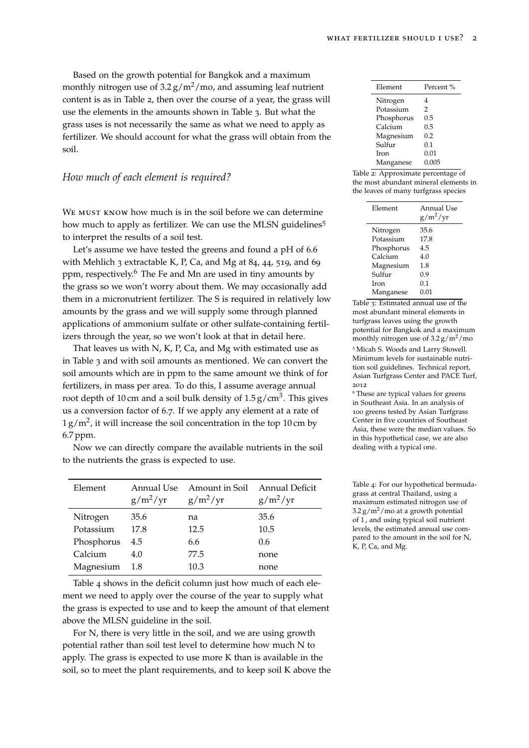Based on the growth potential for Bangkok and a maximum monthly nitrogen use of  $3.2 g/m^2$ /mo, and assuming leaf nutrient content is as in Table [2](#page-0-1), then over the course of a year, the grass will use the elements in the amounts shown in Table [3](#page-0-1). But what the grass uses is not necessarily the same as what we need to apply as fertilizer. We should account for what the grass will obtain from the soil.

#### <span id="page-1-0"></span>*How much of each element is required?*

WE MUST KNOW how much is in the soil before we can determine how much to apply as fertilizer. We can use the MLSN guidelines<sup>5</sup> to interpret the results of a soil test.

Let's assume we have tested the greens and found a pH of 6.6 with Mehlich 3 extractable K, P, Ca, and Mg at 84, 44, 519, and 69 ppm, respectively.<sup>6</sup> The Fe and Mn are used in tiny amounts by the grass so we won't worry about them. We may occasionally add them in a micronutrient fertilizer. The S is required in relatively low amounts by the grass and we will supply some through planned applications of ammonium sulfate or other sulfate-containing fertilizers through the year, so we won't look at that in detail here.

That leaves us with N, K, P, Ca, and Mg with estimated use as in Table [3](#page-0-1) and with soil amounts as mentioned. We can convert the soil amounts which are in ppm to the same amount we think of for fertilizers, in mass per area. To do this, I assume average annual root depth of 10 cm and a soil bulk density of 1.5 g/cm<sup>3</sup>. This gives us a conversion factor of 6.7. If we apply any element at a rate of  $1 g/m<sup>2</sup>$ , it will increase the soil concentration in the top 10 cm by 6.7 ppm.

Now we can directly compare the available nutrients in the soil to the nutrients the grass is expected to use.

| Element    | Annual Use<br>$g/m^2/yr$ | Amount in Soil<br>$g/m^2/yr$ | <b>Annual Deficit</b><br>$g/m^2/yr$ |
|------------|--------------------------|------------------------------|-------------------------------------|
| Nitrogen   | 35.6                     | na                           | 35.6                                |
| Potassium  | 17.8                     | 12.5                         | 10.5                                |
| Phosphorus | 4.5                      | 6.6                          | 0.6                                 |
| Calcium    | 4.0                      | 77.5                         | none                                |
| Magnesium  | 1.8                      | 10.3                         | none                                |

Table [4](#page-1-0) shows in the deficit column just how much of each element we need to apply over the course of the year to supply what the grass is expected to use and to keep the amount of that element above the MLSN guideline in the soil.

For N, there is very little in the soil, and we are using growth potential rather than soil test level to determine how much N to apply. The grass is expected to use more K than is available in the soil, so to meet the plant requirements, and to keep soil K above the

| Percent% |  |
|----------|--|
| 4        |  |
| 2        |  |
| 0.5      |  |
| 0.5      |  |
| 0.2      |  |
| 0.1      |  |
| 0.01     |  |
| 0.005    |  |
|          |  |

Table 2: Approximate percentage of the most abundant mineral elements in the leaves of many turfgrass species

| Element     | Annual Use<br>$g/m^2/yr$ |  |
|-------------|--------------------------|--|
| Nitrogen    | 35.6                     |  |
| Potassium   | 17.8                     |  |
| Phosphorus  | 4.5                      |  |
| Calcium     | 4.0                      |  |
| Magnesium   | 1.8                      |  |
| Sulfur      | 0.9                      |  |
| <b>Iron</b> | 0.1                      |  |
| Manganese   | 0.01                     |  |
|             |                          |  |

Table 3: Estimated annual use of the most abundant mineral elements in turfgrass leaves using the growth potential for Bangkok and a maximum monthly nitrogen use of  $3.2 g/m^2$ /mo <sup>5</sup> Micah S. Woods and Larry Stowell. Minimum levels for sustainable nutrition soil guidelines. Technical report, Asian Turfgrass Center and PACE Turf, 2012

<sup>6</sup> These are typical values for greens in Southeast Asia. In an analysis of 100 greens tested by Asian Turfgrass Center in five countries of Southeast Asia, these were the median values. So in this hypothetical case, we are also dealing with a typical one.

Table 4: For our hypothetical bermudagrass at central Thailand, using a maximum estimated nitrogen use of  $3.2 g/m<sup>2</sup>/m<sub>0</sub>$  at a growth potential of 1 , and using typical soil nutrient levels, the estimated annual use compared to the amount in the soil for N, K, P, Ca, and Mg.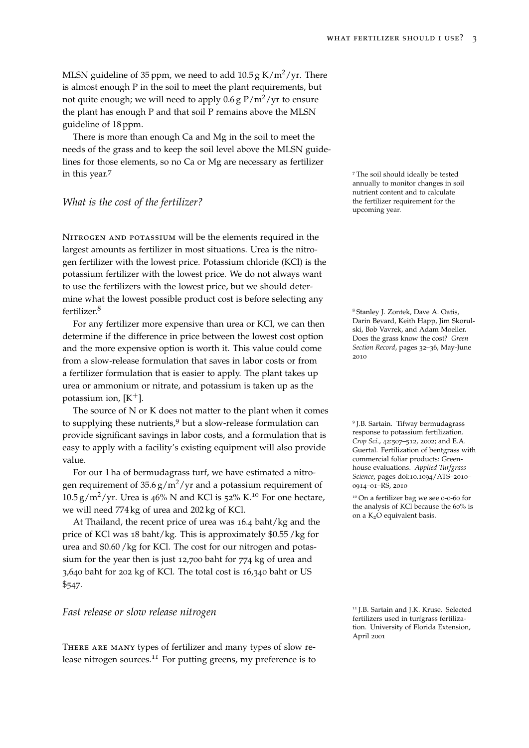MLSN guideline of 35 ppm, we need to add 10.5 g K/m<sup>2</sup>/yr. There is almost enough P in the soil to meet the plant requirements, but not quite enough; we will need to apply  $0.6$  g  $P/m^2/yr$  to ensure the plant has enough P and that soil P remains above the MLSN guideline of 18 ppm.

There is more than enough Ca and Mg in the soil to meet the needs of the grass and to keep the soil level above the MLSN guidelines for those elements, so no Ca or Mg are necessary as fertilizer in this year.<sup>7</sup> The soil should ideally be tested

## *What is the cost of the fertilizer?*

Nitrogen and potassium will be the elements required in the largest amounts as fertilizer in most situations. Urea is the nitrogen fertilizer with the lowest price. Potassium chloride (KCl) is the potassium fertilizer with the lowest price. We do not always want to use the fertilizers with the lowest price, but we should determine what the lowest possible product cost is before selecting any fertilizer.<sup>8</sup> 8 Stanley J. Zontek, Dave A. Oatis,

For any fertilizer more expensive than urea or KCl, we can then determine if the difference in price between the lowest cost option and the more expensive option is worth it. This value could come from a slow-release formulation that saves in labor costs or from a fertilizer formulation that is easier to apply. The plant takes up urea or ammonium or nitrate, and potassium is taken up as the potassium ion,  $[K^+]$ .

The source of N or K does not matter to the plant when it comes to supplying these nutrients, $9$  but a slow-release formulation can provide significant savings in labor costs, and a formulation that is easy to apply with a facility's existing equipment will also provide value.

For our 1 ha of bermudagrass turf, we have estimated a nitrogen requirement of  $35.6 g/m^2/yr$  and a potassium requirement of  $10.5 \text{ g/m}^2/\text{yr}$ . Urea is 46% N and KCl is 52% K.<sup>10</sup> For one hectare, <sup>10</sup> On a fertilizer bag we see 0-0-60 for we will need 774 kg of urea and 202 kg of KCl.

At Thailand, the recent price of urea was 16.4 baht/kg and the price of KCl was 18 baht/kg. This is approximately \$0.55 /kg for urea and \$0.60 /kg for KCl. The cost for our nitrogen and potassium for the year then is just 12,700 baht for 774 kg of urea and 3,640 baht for 202 kg of KCl. The total cost is 16,340 baht or US \$547.

### *Fast release or slow release nitrogen*

There are many types of fertilizer and many types of slow release nitrogen sources.<sup>11</sup> For putting greens, my preference is to annually to monitor changes in soil nutrient content and to calculate the fertilizer requirement for the upcoming year.

Darin Bevard, Keith Happ, Jim Skorulski, Bob Vavrek, and Adam Moeller. Does the grass know the cost? *Green Section Record*, pages 32–36, May-June 2010

<sup>9</sup> J.B. Sartain. Tifway bermudagrass response to potassium fertilization. *Crop Sci.*, 42:507–512, 2002; and E.A. Guertal. Fertilization of bentgrass with commercial foliar products: Greenhouse evaluations. *Applied Turfgrass Science*, pages doi:10.1094/ATS–2010– 0914–01–RS, 2010

the analysis of KCl because the 60% is on a K2O equivalent basis.

<sup>11</sup> J.B. Sartain and J.K. Kruse. Selected fertilizers used in turfgrass fertilization. University of Florida Extension, April 2001